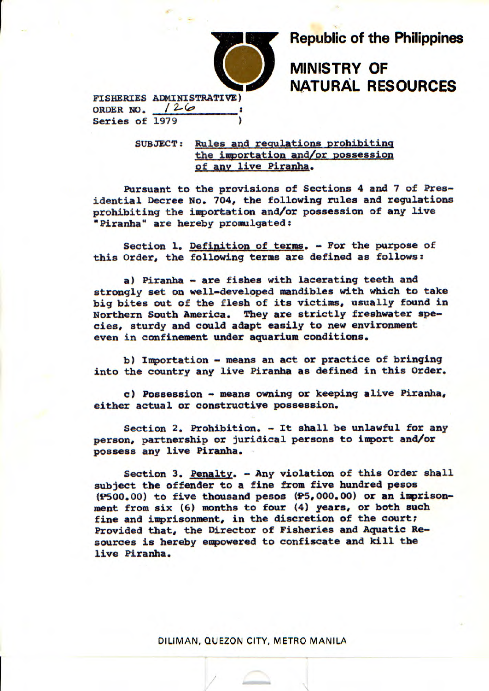

**Republic of the Philippines** 

**MINISTRY OF NATURAL RESOURCES** 

FISHERIES ADMINISTRATIVE) ORDER NO.  $126$ Series of 1979

> SUBJECT: Rules and regulations prohibiting the importation and/or possession of any live Piranha.

Pursuant to the provisions of Sections 4 and 7 of Presidential Decree No. 704, the following rules and regulations prohibiting the importation and/or possession of any live "Piranha" are hereby promulgated:

Section 1. Definition of terms. - For the purpose of this Order, the following terms are defined as follows:

a) Piranha - are fishes with lacerating teeth and strongly set on well-developed mandibles with which to take big bites out of the flesh of its victims, usually found in Northern South America. They are strictly freshwater species, sturdy and could adapt easily to new environment even in confinement under aquarium conditions.

b) Importation - means an act or practice of bringing into the country any live Piranha as defined in this Order.

c) Possession - means owning or keeping alive Piranha, either actual or constructive possession.

Section 2. Prohibition. - It shall be unlawful for any person, partnership or juridical persons to import and/or possess any live Piranha.

Section 3. Penalty. - Any violation of this Order shall subject the offender to a fine from five hundred pesos (P500.00) to five thousand pesos (P5,000.00) or an imprisonment from six (6) months to four (4) years, or both such fine and imprisonment, in the discretion of the court; Provided that, the Director of Fisheries and Aquatic Resources is hereby empowered to confiscate and kill the live Piranha.

DILiMAN, QUEZON CITY, METRO MANILA